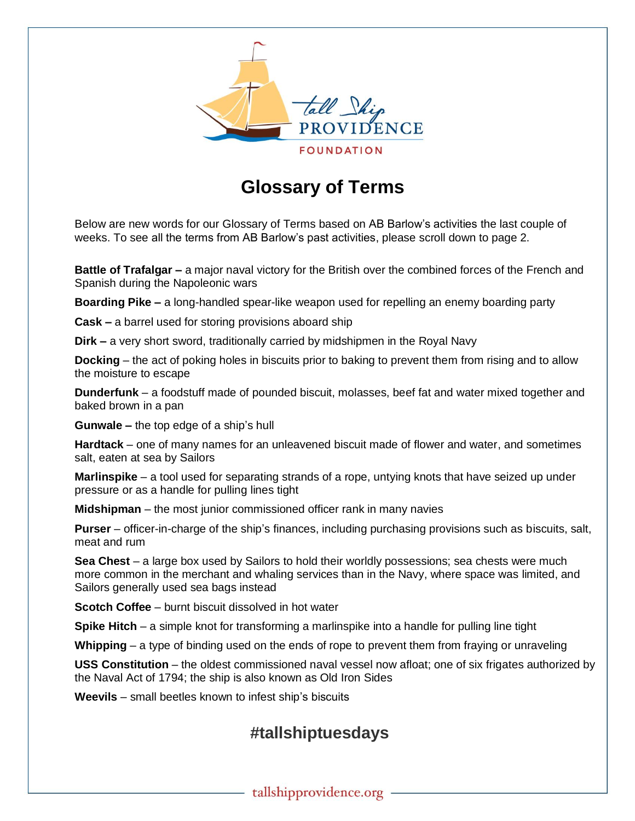

## **Glossary of Terms**

Below are new words for our Glossary of Terms based on AB Barlow's activities the last couple of weeks. To see all the terms from AB Barlow's past activities, please scroll down to page 2.

**Battle of Trafalgar –** a major naval victory for the British over the combined forces of the French and Spanish during the Napoleonic wars

**Boarding Pike –** a long-handled spear-like weapon used for repelling an enemy boarding party

**Cask –** a barrel used for storing provisions aboard ship

**Dirk –** a very short sword, traditionally carried by midshipmen in the Royal Navy

**Docking** – the act of poking holes in biscuits prior to baking to prevent them from rising and to allow the moisture to escape

**Dunderfunk** – a foodstuff made of pounded biscuit, molasses, beef fat and water mixed together and baked brown in a pan

**Gunwale –** the top edge of a ship's hull

**Hardtack** – one of many names for an unleavened biscuit made of flower and water, and sometimes salt, eaten at sea by Sailors

**Marlinspike** – a tool used for separating strands of a rope, untying knots that have seized up under pressure or as a handle for pulling lines tight

**Midshipman** – the most junior commissioned officer rank in many navies

**Purser** – officer-in-charge of the ship's finances, including purchasing provisions such as biscuits, salt, meat and rum

**Sea Chest** – a large box used by Sailors to hold their worldly possessions; sea chests were much more common in the merchant and whaling services than in the Navy, where space was limited, and Sailors generally used sea bags instead

**Scotch Coffee** – burnt biscuit dissolved in hot water

**Spike Hitch** – a simple knot for transforming a marlinspike into a handle for pulling line tight

**Whipping** – a type of binding used on the ends of rope to prevent them from fraying or unraveling

**USS Constitution** – the oldest commissioned naval vessel now afloat; one of six frigates authorized by the Naval Act of 1794; the ship is also known as Old Iron Sides

**Weevils** – small beetles known to infest ship's biscuits

## **#tallshiptuesdays**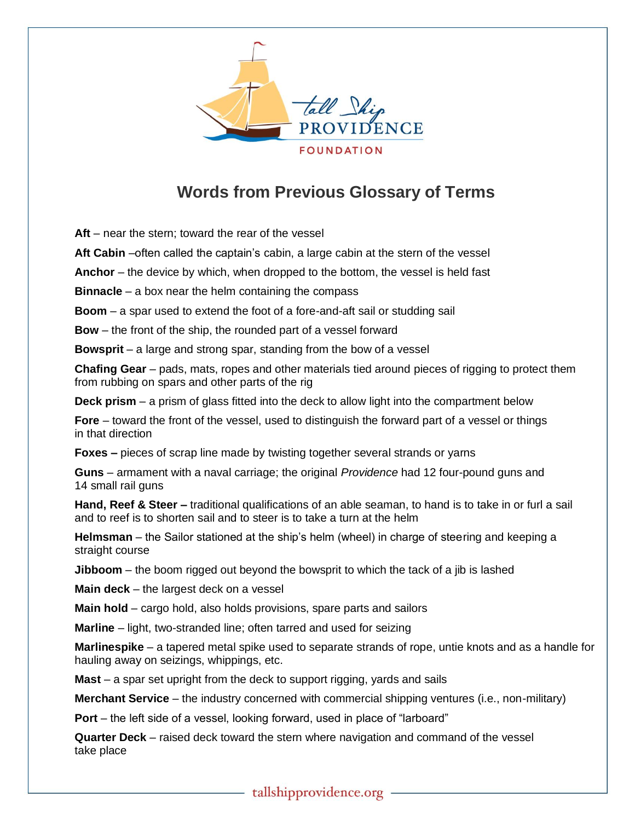

## **Words from Previous Glossary of Terms**

**Aft** – near the stern; toward the rear of the vessel

**Aft Cabin** –often called the captain's cabin, a large cabin at the stern of the vessel

**Anchor** – the device by which, when dropped to the bottom, the vessel is held fast

**Binnacle** – a box near the helm containing the compass

**Boom** – a spar used to extend the foot of a fore-and-aft sail or studding sail

**Bow** – the front of the ship, the rounded part of a vessel forward

**Bowsprit** – a large and strong spar, standing from the bow of a vessel

**Chafing Gear** – pads, mats, ropes and other materials tied around pieces of rigging to protect them from rubbing on spars and other parts of the rig

**Deck prism** – a prism of glass fitted into the deck to allow light into the compartment below

**Fore** – toward the front of the vessel, used to distinguish the forward part of a vessel or things in that direction

**Foxes –** pieces of scrap line made by twisting together several strands or yarns

**Guns** – armament with a naval carriage; the original *Providence* had 12 four-pound guns and 14 small rail guns

**Hand, Reef & Steer –** traditional qualifications of an able seaman, to hand is to take in or furl a sail and to reef is to shorten sail and to steer is to take a turn at the helm

**Helmsman** – the Sailor stationed at the ship's helm (wheel) in charge of steering and keeping a straight course

**Jibboom** – the boom rigged out beyond the bowsprit to which the tack of a jib is lashed

**Main deck** – the largest deck on a vessel

**Main hold** – cargo hold, also holds provisions, spare parts and sailors

**Marline** – light, two-stranded line; often tarred and used for seizing

**Marlinespike** – a tapered metal spike used to separate strands of rope, untie knots and as a handle for hauling away on seizings, whippings, etc.

**Mast** – a spar set upright from the deck to support rigging, yards and sails

**Merchant Service** – the industry concerned with commercial shipping ventures (i.e., non-military)

**Port** – the left side of a vessel, looking forward, used in place of "larboard"

**Quarter Deck** – raised deck toward the stern where navigation and command of the vessel take place